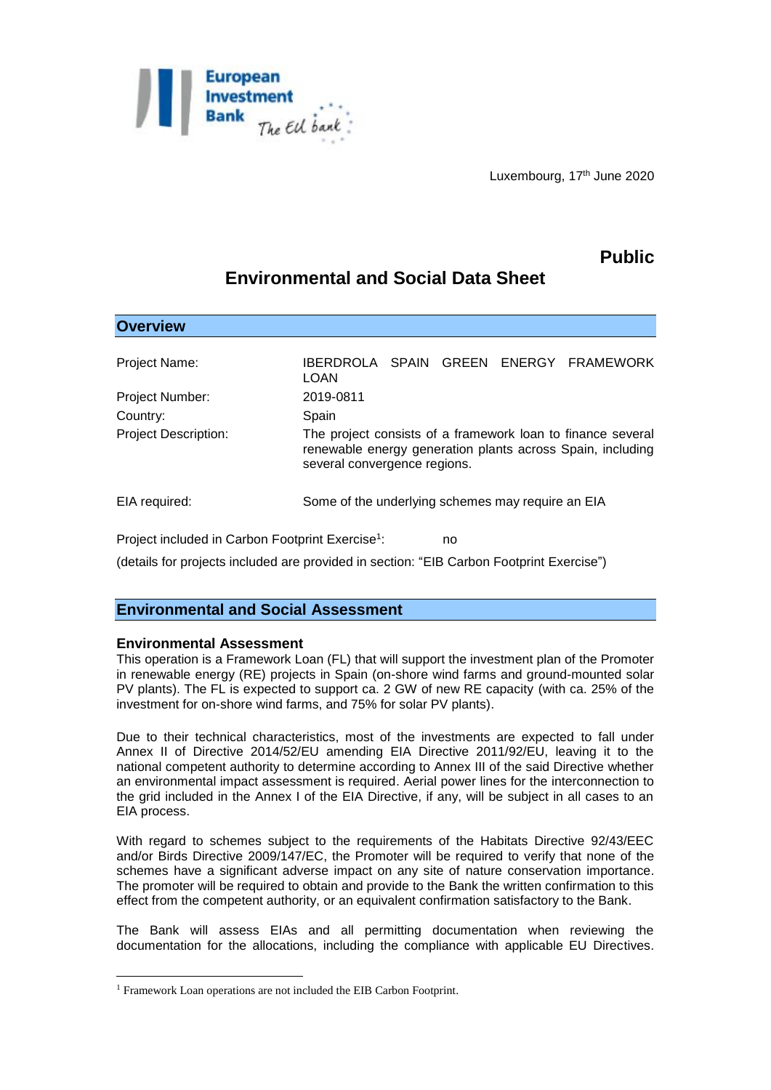

Luxembourg, 17<sup>th</sup> June 2020

# **Public**

# **Environmental and Social Data Sheet**

| <b>Overview</b>             |                                                                                                                                                           |  |  |  |  |
|-----------------------------|-----------------------------------------------------------------------------------------------------------------------------------------------------------|--|--|--|--|
| Project Name:               | IBERDROLA SPAIN GREEN ENERGY FRAMEWORK<br>LOAN                                                                                                            |  |  |  |  |
| <b>Project Number:</b>      | 2019-0811                                                                                                                                                 |  |  |  |  |
| Country:                    | Spain                                                                                                                                                     |  |  |  |  |
| <b>Project Description:</b> | The project consists of a framework loan to finance several<br>renewable energy generation plants across Spain, including<br>several convergence regions. |  |  |  |  |
| EIA required:               | Some of the underlying schemes may require an EIA                                                                                                         |  |  |  |  |

Project included in Carbon Footprint Exercise<sup>1</sup>: : no

(details for projects included are provided in section: "EIB Carbon Footprint Exercise")

# **Environmental and Social Assessment**

## **Environmental Assessment**

1

This operation is a Framework Loan (FL) that will support the investment plan of the Promoter in renewable energy (RE) projects in Spain (on-shore wind farms and ground-mounted solar PV plants). The FL is expected to support ca. 2 GW of new RE capacity (with ca. 25% of the investment for on-shore wind farms, and 75% for solar PV plants).

Due to their technical characteristics, most of the investments are expected to fall under Annex II of Directive 2014/52/EU amending EIA Directive 2011/92/EU, leaving it to the national competent authority to determine according to Annex III of the said Directive whether an environmental impact assessment is required. Aerial power lines for the interconnection to the grid included in the Annex I of the EIA Directive, if any, will be subject in all cases to an EIA process.

With regard to schemes subject to the requirements of the Habitats Directive 92/43/EEC and/or Birds Directive 2009/147/EC, the Promoter will be required to verify that none of the schemes have a significant adverse impact on any site of nature conservation importance. The promoter will be required to obtain and provide to the Bank the written confirmation to this effect from the competent authority, or an equivalent confirmation satisfactory to the Bank.

The Bank will assess EIAs and all permitting documentation when reviewing the documentation for the allocations, including the compliance with applicable EU Directives.

<sup>1</sup> Framework Loan operations are not included the EIB Carbon Footprint.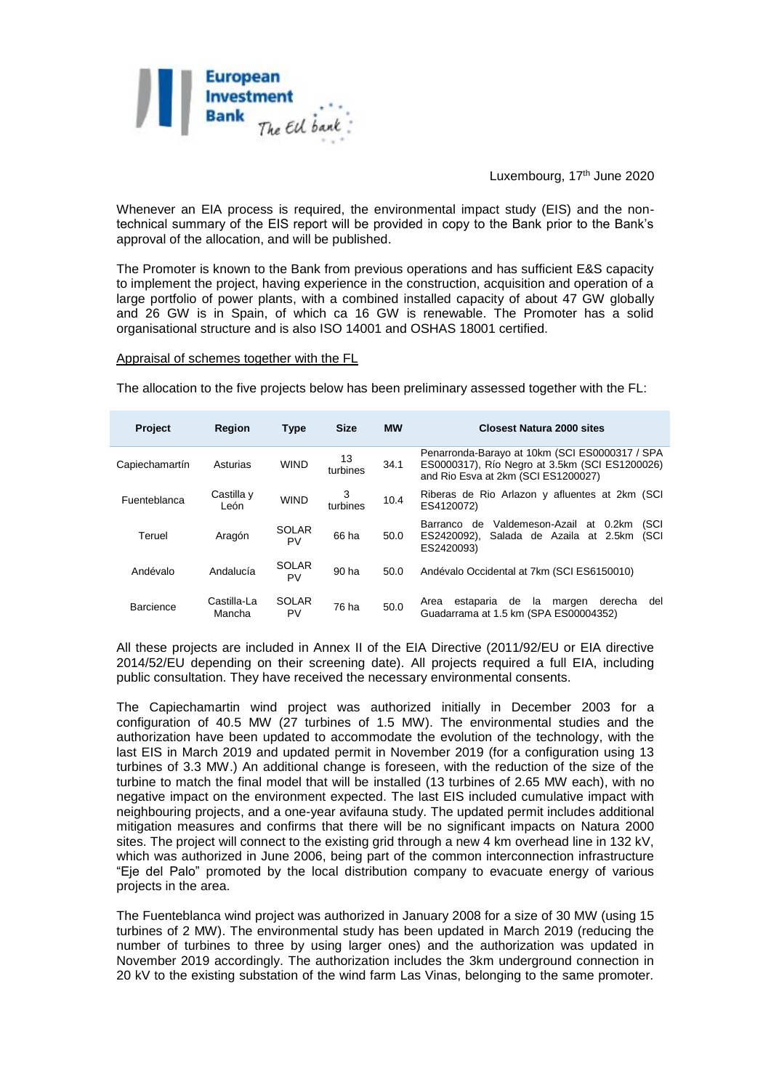

#### Luxembourg, 17th June 2020

Whenever an EIA process is required, the environmental impact study (EIS) and the nontechnical summary of the EIS report will be provided in copy to the Bank prior to the Bank's approval of the allocation, and will be published.

The Promoter is known to the Bank from previous operations and has sufficient E&S capacity to implement the project, having experience in the construction, acquisition and operation of a large portfolio of power plants, with a combined installed capacity of about 47 GW globally and 26 GW is in Spain, of which ca 16 GW is renewable. The Promoter has a solid organisational structure and is also ISO 14001 and OSHAS 18001 certified.

Appraisal of schemes together with the FL

The allocation to the five projects below has been preliminary assessed together with the FL:

| <b>Project</b> | <b>Region</b>         | Type               | <b>Size</b>    | <b>MW</b> | <b>Closest Natura 2000 sites</b>                                                                                                        |
|----------------|-----------------------|--------------------|----------------|-----------|-----------------------------------------------------------------------------------------------------------------------------------------|
| Capiechamartín | Asturias              | <b>WIND</b>        | 13<br>turbines | 34.1      | Penarronda-Barayo at 10km (SCI ES0000317 / SPA<br>ES0000317), Río Negro at 3.5km (SCI ES1200026)<br>and Rio Esva at 2km (SCI ES1200027) |
| Fuenteblanca   | Castilla y<br>León    | <b>WIND</b>        | 3<br>turbines  | 10.4      | Riberas de Rio Arlazon y afluentes at 2km (SCI<br>ES4120072)                                                                            |
| Teruel         | Aragón                | <b>SOLAR</b><br>PV | 66 ha          | 50.0      | Valdemeson-Azail<br>(SCI<br>$0.2$ km<br>Barranco de<br>at<br>ES2420092).<br>Salada de Azaila at 2.5km<br>(SCI<br>ES2420093)             |
| Andévalo       | Andalucía             | <b>SOLAR</b><br>PV | 90 ha          | 50.0      | Andévalo Occidental at 7km (SCI ES6150010)                                                                                              |
| Barcience      | Castilla-La<br>Mancha | <b>SOLAR</b><br>PV | 76 ha          | 50.0      | de<br>del<br>estaparia<br>la<br>derecha<br>margen<br>Area<br>Guadarrama at 1.5 km (SPA ES00004352)                                      |

All these projects are included in Annex II of the EIA Directive (2011/92/EU or EIA directive 2014/52/EU depending on their screening date). All projects required a full EIA, including public consultation. They have received the necessary environmental consents.

The Capiechamartin wind project was authorized initially in December 2003 for a configuration of 40.5 MW (27 turbines of 1.5 MW). The environmental studies and the authorization have been updated to accommodate the evolution of the technology, with the last EIS in March 2019 and updated permit in November 2019 (for a configuration using 13 turbines of 3.3 MW.) An additional change is foreseen, with the reduction of the size of the turbine to match the final model that will be installed (13 turbines of 2.65 MW each), with no negative impact on the environment expected. The last EIS included cumulative impact with neighbouring projects, and a one-year avifauna study. The updated permit includes additional mitigation measures and confirms that there will be no significant impacts on Natura 2000 sites. The project will connect to the existing grid through a new 4 km overhead line in 132 kV, which was authorized in June 2006, being part of the common interconnection infrastructure "Eje del Palo" promoted by the local distribution company to evacuate energy of various projects in the area.

The Fuenteblanca wind project was authorized in January 2008 for a size of 30 MW (using 15 turbines of 2 MW). The environmental study has been updated in March 2019 (reducing the number of turbines to three by using larger ones) and the authorization was updated in November 2019 accordingly. The authorization includes the 3km underground connection in 20 kV to the existing substation of the wind farm Las Vinas, belonging to the same promoter.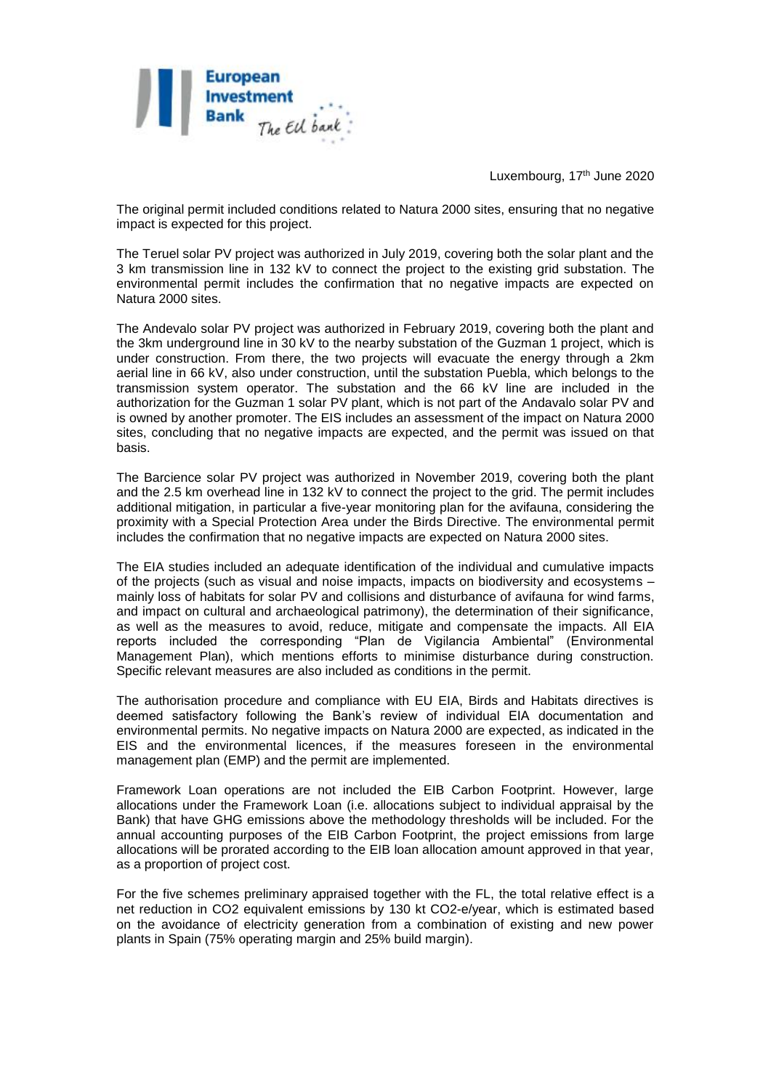

Luxembourg, 17<sup>th</sup> June 2020

The original permit included conditions related to Natura 2000 sites, ensuring that no negative impact is expected for this project.

The Teruel solar PV project was authorized in July 2019, covering both the solar plant and the 3 km transmission line in 132 kV to connect the project to the existing grid substation. The environmental permit includes the confirmation that no negative impacts are expected on Natura 2000 sites.

The Andevalo solar PV project was authorized in February 2019, covering both the plant and the 3km underground line in 30 kV to the nearby substation of the Guzman 1 project, which is under construction. From there, the two projects will evacuate the energy through a 2km aerial line in 66 kV, also under construction, until the substation Puebla, which belongs to the transmission system operator. The substation and the 66 kV line are included in the authorization for the Guzman 1 solar PV plant, which is not part of the Andavalo solar PV and is owned by another promoter. The EIS includes an assessment of the impact on Natura 2000 sites, concluding that no negative impacts are expected, and the permit was issued on that basis.

The Barcience solar PV project was authorized in November 2019, covering both the plant and the 2.5 km overhead line in 132 kV to connect the project to the grid. The permit includes additional mitigation, in particular a five-year monitoring plan for the avifauna, considering the proximity with a Special Protection Area under the Birds Directive. The environmental permit includes the confirmation that no negative impacts are expected on Natura 2000 sites.

The EIA studies included an adequate identification of the individual and cumulative impacts of the projects (such as visual and noise impacts, impacts on biodiversity and ecosystems – mainly loss of habitats for solar PV and collisions and disturbance of avifauna for wind farms, and impact on cultural and archaeological patrimony), the determination of their significance, as well as the measures to avoid, reduce, mitigate and compensate the impacts. All EIA reports included the corresponding "Plan de Vigilancia Ambiental" (Environmental Management Plan), which mentions efforts to minimise disturbance during construction. Specific relevant measures are also included as conditions in the permit.

The authorisation procedure and compliance with EU EIA, Birds and Habitats directives is deemed satisfactory following the Bank's review of individual EIA documentation and environmental permits. No negative impacts on Natura 2000 are expected, as indicated in the EIS and the environmental licences, if the measures foreseen in the environmental management plan (EMP) and the permit are implemented.

Framework Loan operations are not included the EIB Carbon Footprint. However, large allocations under the Framework Loan (i.e. allocations subject to individual appraisal by the Bank) that have GHG emissions above the methodology thresholds will be included. For the annual accounting purposes of the EIB Carbon Footprint, the project emissions from large allocations will be prorated according to the EIB loan allocation amount approved in that year, as a proportion of project cost.

For the five schemes preliminary appraised together with the FL, the total relative effect is a net reduction in CO2 equivalent emissions by 130 kt CO2-e/year, which is estimated based on the avoidance of electricity generation from a combination of existing and new power plants in Spain (75% operating margin and 25% build margin).